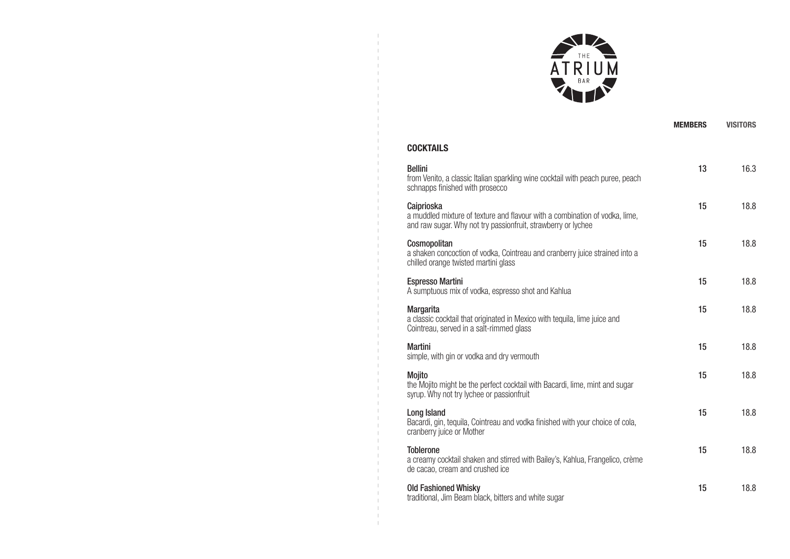

|                                                                                                                                                            | <b>MEMBERS</b> | <b>VISITORS</b> |
|------------------------------------------------------------------------------------------------------------------------------------------------------------|----------------|-----------------|
| COCKTAILS                                                                                                                                                  |                |                 |
| <b>Bellini</b><br>from Venito, a classic Italian sparkling wine cocktail with peach puree, peach<br>schnapps finished with prosecco                        | 13             | 16.3            |
| Caiprioska<br>a muddled mixture of texture and flavour with a combination of vodka, lime,<br>and raw sugar. Why not try passionfruit, strawberry or lychee | 15             | 18.8            |
| Cosmopolitan<br>a shaken concoction of vodka, Cointreau and cranberry juice strained into a<br>chilled orange twisted martini glass                        | 15             | 18.8            |
| Espresso Martini<br>A sumptuous mix of vodka, espresso shot and Kahlua                                                                                     | 15             | 18.8            |

## COCKTAILS

Bellini

| and raw sugar. Why not try passionfruit, strawberry or lychee                                                                             |    |      |
|-------------------------------------------------------------------------------------------------------------------------------------------|----|------|
| Cosmopolitan<br>a shaken concoction of vodka, Cointreau and cranberry juice strained into a<br>chilled orange twisted martini glass       | 15 | 18.8 |
| <b>Espresso Martini</b><br>A sumptuous mix of vodka, espresso shot and Kahlua                                                             | 15 | 18.8 |
| <b>Margarita</b><br>a classic cocktail that originated in Mexico with tequila, lime juice and<br>Cointreau, served in a salt-rimmed glass | 15 | 18.8 |
| <b>Martini</b><br>simple, with gin or vodka and dry vermouth                                                                              | 15 | 18.8 |
| Mojito<br>the Mojito might be the perfect cocktail with Bacardi, lime, mint and sugar<br>syrup. Why not try lychee or passionfruit        | 15 | 18.8 |
| Long Island<br>Bacardi, gin, tequila, Cointreau and vodka finished with your choice of cola,<br>cranberry juice or Mother                 | 15 | 18.8 |
| <b>Toblerone</b><br>a creamy cocktail shaken and stirred with Bailey's, Kahlua, Frangelico, crème<br>de cacao, cream and crushed ice      | 15 | 18.8 |
| <b>Old Fashioned Whisky</b><br>traditional, Jim Beam black, bitters and white sugar                                                       | 15 | 18.8 |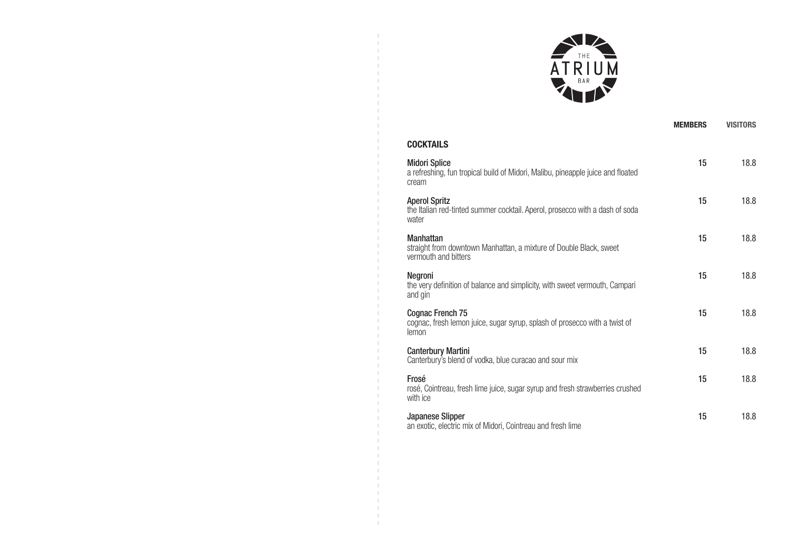

|                                                                                                                  | <b>MEMBERS</b> | <b>VISITORS</b> |
|------------------------------------------------------------------------------------------------------------------|----------------|-----------------|
| <b>COCKTAILS</b>                                                                                                 |                |                 |
| <b>Midori Splice</b><br>a refreshing, fun tropical build of Midori, Malibu, pineapple juice and floated<br>cream | 15             | 18.8            |
| <b>Aperol Spritz</b><br>the Italian red-tinted summer cocktail. Aperol, prosecco with a dash of soda<br>water    | 15             | 18.8            |
| <b>Manhattan</b><br>straight from downtown Manhattan, a mixture of Double Black, sweet<br>vermouth and bitters   | 15             | 18.8            |
| Negroni<br>the very definition of balance and simplicity, with sweet vermouth, Campari<br>and gin                | 15             | 18.8            |
| Cognac French 75<br>cognac, fresh lemon juice, sugar syrup, splash of prosecco with a twist of<br>lemon          | 15             | 18.8            |
| <b>Canterbury Martini</b><br>Canterbury's blend of vodka, blue curacao and sour mix                              | 15             | 18.8            |
| Frosé<br>rosé, Cointreau, fresh lime juice, sugar syrup and fresh strawberries crushed<br>with ice               | 15             | 18.8            |
| <b>Japanese Slipper</b><br>an exotic, electric mix of Midori, Cointreau and fresh lime                           | 15             | 18.8            |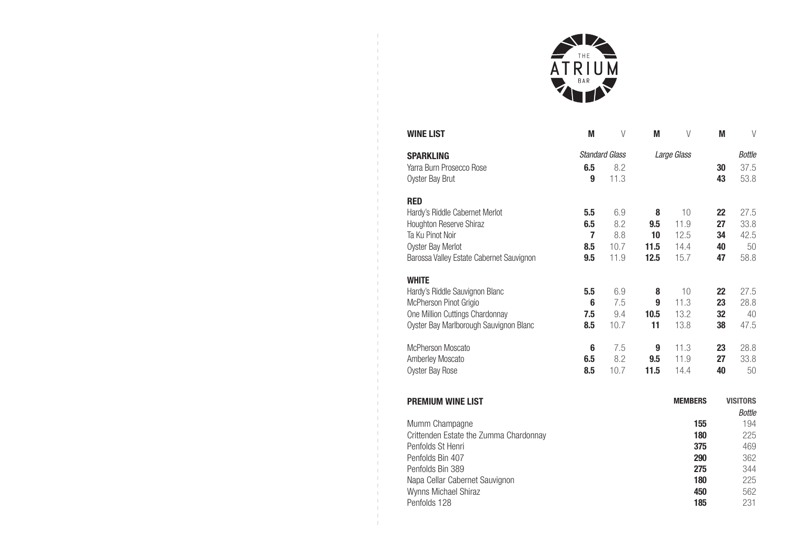

| <b>WINE LIST</b>                         | M              | V                     | M        | V              | M        | V                                |
|------------------------------------------|----------------|-----------------------|----------|----------------|----------|----------------------------------|
| <b>SPARKLING</b>                         |                | <b>Standard Glass</b> |          | Large Glass    |          | <b>Bottle</b>                    |
| Yarra Burn Prosecco Rose                 | 6.5            | 8.2                   |          |                | 30       | 37.5                             |
| Oyster Bay Brut                          | 9              | 11.3                  |          |                | 43       | 53.8                             |
| <b>RED</b>                               |                |                       |          |                |          |                                  |
| Hardy's Riddle Cabernet Merlot           | 5.5            | 6.9                   | 8        | 10             | 22       | 27.5                             |
| Houghton Reserve Shiraz                  | 6.5            | 8.2                   | 9.5      | 11.9           | 27       | 33.8                             |
| Ta Ku Pinot Noir                         | $\overline{7}$ | 8.8                   | 10       | 12.5           | 34       | 42.5                             |
| Oyster Bay Merlot                        | 8.5            | 10.7                  | 11.5     | 14.4           | 40       | 50                               |
| Barossa Valley Estate Cabernet Sauvignon | 9.5            | 11.9                  | 12.5     | 15.7           | 47       | 58.8                             |
| <b>WHITE</b>                             |                |                       |          |                |          |                                  |
| Hardy's Riddle Sauvignon Blanc           | 5.5            | 6.9                   | 8        | 10             | 22       | 27.5                             |
| McPherson Pinot Grigio                   | 6              | 7.5                   | 9        | 11.3           | 23       | 28.8                             |
| One Million Cuttings Chardonnay          | 7.5            | 9.4                   | 10.5     | 13.2           | 32       | 40                               |
| Oyster Bay Marlborough Sauvignon Blanc   | 8.5            | 10.7                  | 11       | 13.8           | 38       | 47.5                             |
|                                          |                |                       |          |                |          |                                  |
| <b>McPherson Moscato</b>                 | 6<br>6.5       | 7.5<br>8.2            | 9<br>9.5 | 11.3<br>11.9   | 23<br>27 | 28.8<br>33.8                     |
| Amberley Moscato<br>Oyster Bay Rose      | 8.5            | 10.7                  | 11.5     | 14.4           | 40       | 50                               |
|                                          |                |                       |          |                |          |                                  |
|                                          |                |                       |          | <b>MEMBERS</b> |          |                                  |
| <b>PREMIUM WINE LIST</b>                 |                |                       |          |                |          | <b>VISITORS</b><br><b>Bottle</b> |
| Mumm Champagne                           |                |                       |          | 155            |          | 194                              |
| Crittenden Estate the Zumma Chardonnay   |                |                       |          | 180            |          | 225                              |
| Penfolds St Henri                        |                |                       |          | 375            |          | 469                              |
| Penfolds Bin 407                         |                |                       |          | 290            |          | 362                              |
| Penfolds Bin 389                         |                |                       |          | 275            |          | 344                              |
| Napa Cellar Cabernet Sauvignon           |                |                       |          | 180            |          | 225                              |
| Wynns Michael Shiraz                     |                |                       |          | 450            |          | 562                              |
| Penfolds 128                             |                |                       |          | 185            |          | 231                              |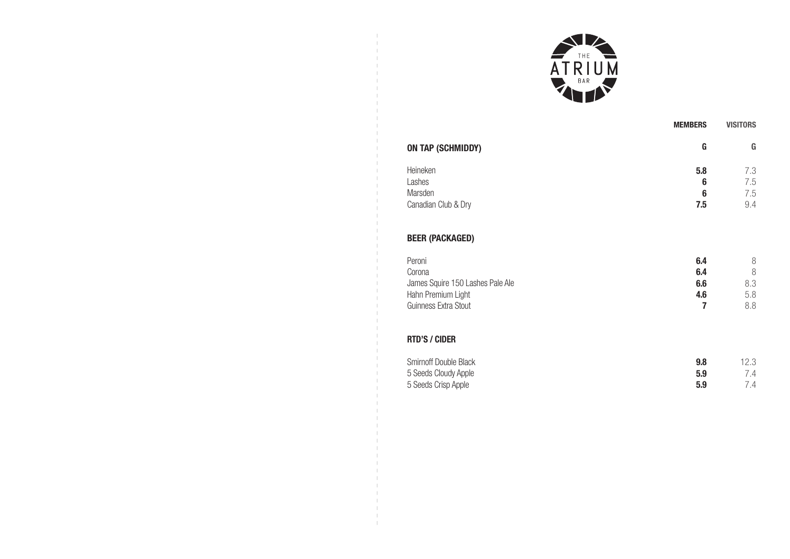

| <b>ON TAP (SCHMIDDY)</b> | G   | G   |
|--------------------------|-----|-----|
| Heineken                 | 5.8 | 7.3 |
| Lashes                   | 6   | 7.5 |
| Marsden                  | 6   | 7.5 |
| Canadian Club & Dry      | 7.5 | 9.4 |

## BEER (PACKAGED)

| Canadian Club & Dry              | 7.5 | 9.4 |
|----------------------------------|-----|-----|
| <b>BEER (PACKAGED)</b>           |     |     |
| Peroni                           | 6.4 | 8   |
| Corona                           | 6.4 | 8   |
| James Squire 150 Lashes Pale Ale | 6.6 | 8.3 |
| Hahn Premium Light               | 4.6 | 5.8 |
| Guinness Extra Stout             |     | 8.8 |
|                                  |     |     |

## RTD'S / CIDER

| Smirnoff Double Black | 9.8 | 12.3 |
|-----------------------|-----|------|
| 5 Seeds Cloudy Apple  | 5.9 | 7.4  |
| 5 Seeds Crisp Apple   | 5.9 | 7.4  |